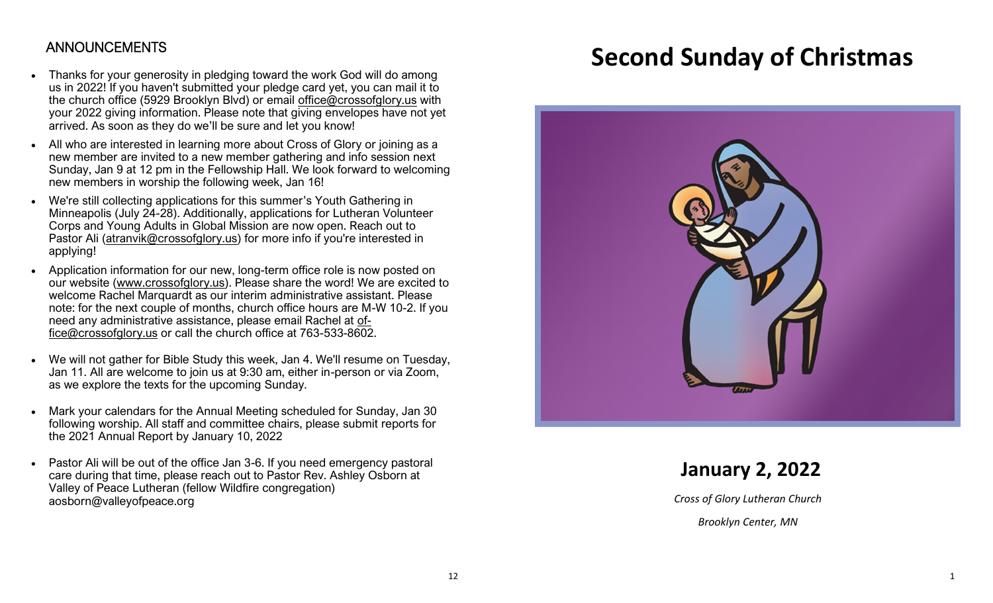# ANNOUNCEMENTS

- Thanks for your generosity in pledging toward the work God will do among us in 2022! If you haven't submitted your pledge card yet, you can mail it to the church office (5929 Brooklyn Blvd) or email [office@crossofglory.us](mailto:office@crossofglory.us) with your 2022 giving information. Please note that giving envelopes have not yet arrived. As soon as they do we'll be sure and let you know!
- All who are interested in learning more about Cross of Glory or joining as a new member are invited to a new member gathering and info session next Sunday, Jan 9 at 12 pm in the Fellowship Hall. We look forward to welcoming new members in worship the following week, Jan 16!
- We're still collecting applications for this summer's Youth Gathering in Minneapolis (July 24-28). Additionally, applications for Lutheran Volunteer Corps and Young Adults in Global Mission are now open. Reach out to Pastor Ali ([atranvik@crossofglory.us\)](mailto:atranvik@crossofglory.us) for more info if you're interested in applying!
- Application information for our new, long-term office role is now posted on our website [\(www.crossofglory.us\)](http://www.crossofglory.us/). Please share the word! We are excited to welcome Rachel Marquardt as our interim administrative assistant. Please note: for the next couple of months, church office hours are M-W 10-2. If you need any administrative assistance, please email Rachel at [of](mailto:office@crossofglory.us)[fice@crossofglory.us](mailto:office@crossofglory.us) or call the church office at 763-533-8602.
- We will not gather for Bible Study this week, Jan 4. We'll resume on Tuesday, Jan 11. All are welcome to join us at 9:30 am, either in-person or via Zoom, as we explore the texts for the upcoming Sunday.
- Mark your calendars for the Annual Meeting scheduled for Sunday, Jan 30 following worship. All staff and committee chairs, please submit reports for the 2021 Annual Report by January 10, 2022
- Pastor Ali will be out of the office Jan 3-6. If you need emergency pastoral care during that time, please reach out to Pastor Rev. Ashley Osborn at Valley of Peace Lutheran (fellow Wildfire congregation) aosborn@valleyofpeace.org

# **Second Sunday of Christmas**



# **January 2, 2022**

*Cross of Glory Lutheran Church Brooklyn Center, MN*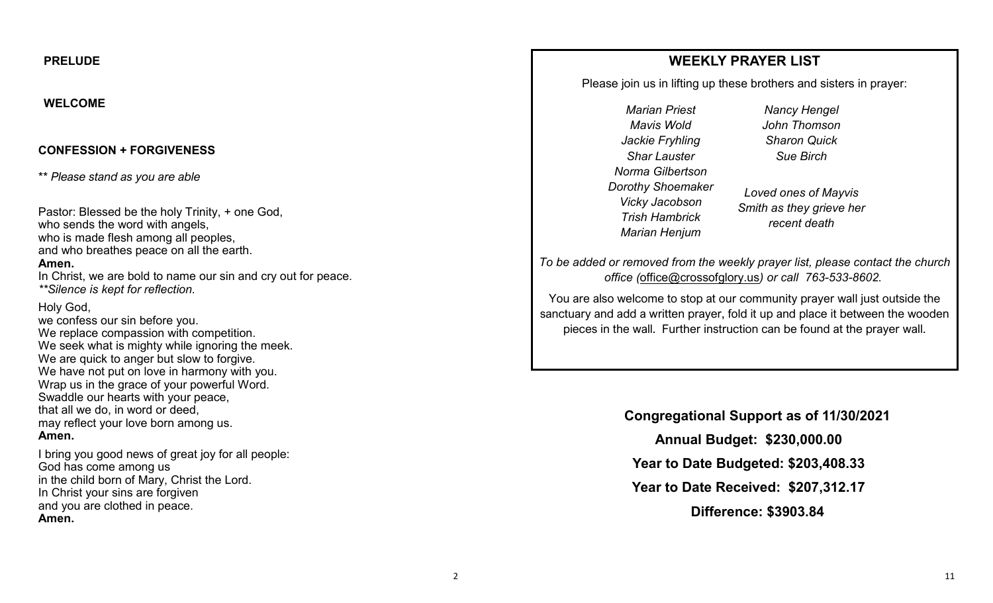### **WELCOME**

#### **CONFESSION + FORGIVENESS**

*\*\* Please stand as you are able*

Pastor: Blessed be the holy Trinity, + one God, who sends the word with angels, who is made flesh among all peoples, and who breathes peace on all the earth. **Amen.** In Christ, we are bold to name our sin and cry out for peace. *\*\*Silence is kept for reflection.*

#### Holy God,

we confess our sin before you. We replace compassion with competition. We seek what is mighty while ignoring the meek. We are quick to anger but slow to forgive. We have not put on love in harmony with you. Wrap us in the grace of your powerful Word. Swaddle our hearts with your peace, that all we do, in word or deed, may reflect your love born among us. **Amen.**

I bring you good news of great joy for all people: God has come among us in the child born of Mary, Christ the Lord. In Christ your sins are forgiven and you are clothed in peace. **Amen.**

# **WEEKLY PRAYER LIST**

Please join us in lifting up these brothers and sisters in prayer:

*Marian Priest Mavis Wold Jackie Fryhling Shar Lauster Norma Gilbertson Dorothy Shoemaker Vicky Jacobson Trish Hambrick Marian Henjum*

*Nancy Hengel John Thomson Sharon Quick Sue Birch*

*Loved ones of Mayvis Smith as they grieve her recent death*

*To be added or removed from the weekly prayer list, please contact the church office (*[office@crossofglory.us](mailto:office@crossofglory.us)*) or call 763-533-8602.*

You are also welcome to stop at our community prayer wall just outside the sanctuary and add a written prayer, fold it up and place it between the wooden pieces in the wall. Further instruction can be found at the prayer wall.

> **Congregational Support as of 11/30/2021 Annual Budget: \$230,000.00 Year to Date Budgeted: \$203,408.33 Year to Date Received: \$207,312.17 Difference: \$3903.84**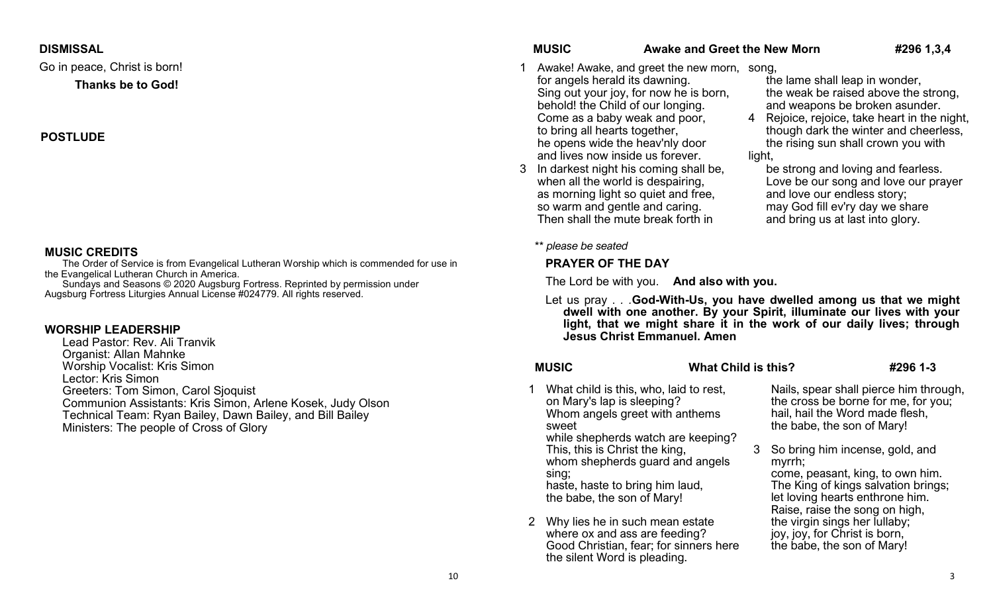#### **DISMISSAL**

Go in peace, Christ is born!

**Thanks be to God!**

#### **POSTLUDE**

#### **MUSIC CREDITS**

The Order of Service is from Evangelical Lutheran Worship which is commended for use in the Evangelical Lutheran Church in America.

Sundays and Seasons © 2020 Augsburg Fortress. Reprinted by permission under Augsburg Fortress Liturgies Annual License #024779. All rights reserved.

#### **WORSHIP LEADERSHIP**

Lead Pastor: Rev. Ali Tranvik Organist: Allan Mahnke Worship Vocalist: Kris Simon Lector: Kris Simon Greeters: Tom Simon, Carol Sjoquist Communion Assistants: Kris Simon, Arlene Kosek, Judy Olson Technical Team: Ryan Bailey, Dawn Bailey, and Bill Bailey Ministers: The people of Cross of Glory

### **MUSIC Awake and Greet the New Morn #296 1,3,4**

- 1 Awake! Awake, and greet the new morn, song, for angels herald its dawning. Sing out your joy, for now he is born, behold! the Child of our longing. Come as a baby weak and poor, to bring all hearts together, he opens wide the heav'nly door and lives now inside us forever.
- 3 In darkest night his coming shall be, when all the world is despairing, as morning light so quiet and free, so warm and gentle and caring. Then shall the mute break forth in

the lame shall leap in wonder, the weak be raised above the strong, and weapons be broken asunder.

- 4 Rejoice, rejoice, take heart in the night, though dark the winter and cheerless, the rising sun shall crown you with light,
	- be strong and loving and fearless. Love be our song and love our prayer and love our endless story; may God fill ev'ry day we share and bring us at last into glory.

*\*\* please be seated*

### **PRAYER OF THE DAY**

The Lord be with you. **And also with you.** 

Let us pray . *. .***God-With-Us, you have dwelled among us that we might dwell with one another. By your Spirit, illuminate our lives with your light, that we might share it in the work of our daily lives; through Jesus Christ Emmanuel. Amen**

#### **MUSIC What Child is this? #296 1-3**

What child is this, who, laid to rest, on Mary's lap is sleeping? Whom angels greet with anthems sweet while shepherds watch are keeping? This, this is Christ the king, whom shepherds guard and angels sing;

haste, haste to bring him laud, the babe, the son of Mary!

2 Why lies he in such mean estate where ox and ass are feeding? Good Christian, fear; for sinners here the silent Word is pleading.

Nails, spear shall pierce him through, the cross be borne for me, for you; hail, hail the Word made flesh, the babe, the son of Mary!

3 So bring him incense, gold, and myrrh;

come, peasant, king, to own him. The King of kings salvation brings; let loving hearts enthrone him. Raise, raise the song on high, the virgin sings her lullaby; joy, joy, for Christ is born, the babe, the son of Mary!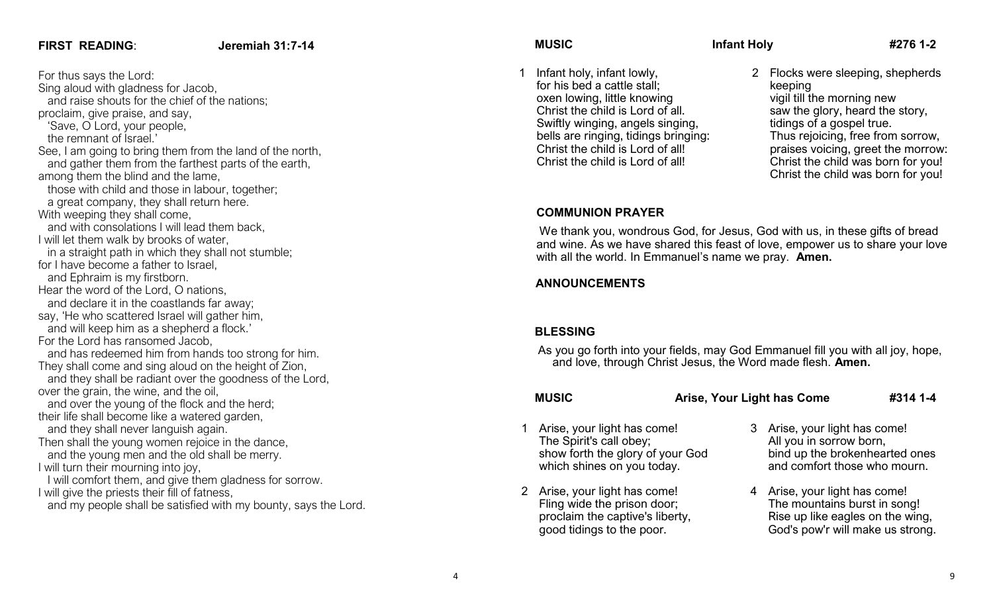#### **FIRST READING**: **Jeremiah 31:7-14**

For thus says the Lord: Sing aloud with gladness for Jacob, and raise shouts for the chief of the nations; proclaim, give praise, and say, 'Save, O Lord, your people, the remnant of Israel.' See, I am going to bring them from the land of the north, and gather them from the farthest parts of the earth, among them the blind and the lame, those with child and those in labour, together; a great company, they shall return here. With weeping they shall come, and with consolations I will lead them back, I will let them walk by brooks of water, in a straight path in which they shall not stumble; for I have become a father to Israel, and Ephraim is my firstborn. Hear the word of the Lord, O nations, and declare it in the coastlands far away; say, 'He who scattered Israel will gather him, and will keep him as a shepherd a flock.' For the Lord has ransomed Jacob, and has redeemed him from hands too strong for him. They shall come and sing aloud on the height of Zion, and they shall be radiant over the goodness of the Lord, over the grain, the wine, and the oil, and over the young of the flock and the herd; their life shall become like a watered garden, and they shall never languish again. Then shall the young women rejoice in the dance, and the young men and the old shall be merry. I will turn their mourning into joy, I will comfort them, and give them gladness for sorrow. I will give the priests their fill of fatness,

and my people shall be satisfied with my bounty, says the Lord.

#### **MUSIC Infant Holy #276 1-2**

1 Infant holy, infant lowly, for his bed a cattle stall; oxen lowing, little knowing Christ the child is Lord of all. Swiftly winging, angels singing, bells are ringing, tidings bringing: Christ the child is Lord of all! Christ the child is Lord of all!

### 2 Flocks were sleeping, shepherds keeping vigil till the morning new saw the glory, heard the story, tidings of a gospel true. Thus rejoicing, free from sorrow, praises voicing, greet the morrow: Christ the child was born for you! Christ the child was born for you!

#### **COMMUNION PRAYER**

We thank you, wondrous God, for Jesus, God with us, in these gifts of bread and wine. As we have shared this feast of love, empower us to share your love with all the world. In Emmanuel's name we pray. **Amen.** 

### **ANNOUNCEMENTS**

### **BLESSING**

As you go forth into your fields, may God Emmanuel fill you with all joy, hope, and love, through Christ Jesus, the Word made flesh. **Amen.** 

**MUSIC Arise, Your Light has Come #314 1-4**

- Arise, your light has come! The Spirit's call obey; show forth the glory of your God which shines on you today.
- 2 Arise, your light has come! Fling wide the prison door; proclaim the captive's liberty, good tidings to the poor.
- 3 Arise, your light has come! All you in sorrow born, bind up the brokenhearted ones and comfort those who mourn.
- 4 Arise, your light has come! The mountains burst in song! Rise up like eagles on the wing, God's pow'r will make us strong.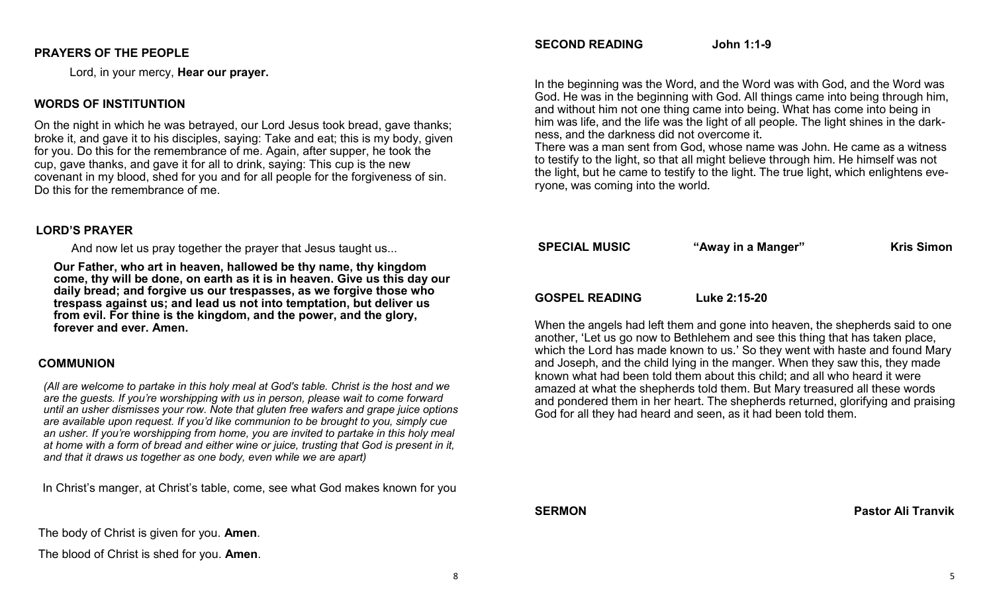### **PRAYERS OF THE PEOPLE**

Lord, in your mercy, **Hear our prayer.**

#### **WORDS OF INSTITUNTION**

On the night in which he was betrayed, our Lord Jesus took bread, gave thanks; broke it, and gave it to his disciples, saying: Take and eat; this is my body, given for you. Do this for the remembrance of me. Again, after supper, he took the cup, gave thanks, and gave it for all to drink, saying: This cup is the new covenant in my blood, shed for you and for all people for the forgiveness of sin. Do this for the remembrance of me.

### **LORD'S PRAYER**

And now let us pray together the prayer that Jesus taught us...

**Our Father, who art in heaven, hallowed be thy name, thy kingdom come, thy will be done, on earth as it is in heaven. Give us this day our daily bread; and forgive us our trespasses, as we forgive those who trespass against us; and lead us not into temptation, but deliver us from evil. For thine is the kingdom, and the power, and the glory, forever and ever. Amen.**

### **COMMUNION**

*(All are welcome to partake in this holy meal at God's table. Christ is the host and we are the guests. If you're worshipping with us in person, please wait to come forward until an usher dismisses your row. Note that gluten free wafers and grape juice options are available upon request. If you'd like communion to be brought to you, simply cue an usher. If you're worshipping from home, you are invited to partake in this holy meal at home with a form of bread and either wine or juice, trusting that God is present in it, and that it draws us together as one body, even while we are apart)*

In Christ's manger, at Christ's table, come, see what God makes known for you

The body of Christ is given for you. **Amen**.

The blood of Christ is shed for you. **Amen**.

#### **SECOND READING John 1:1-9**

In the beginning was the Word, and the Word was with God, and the Word was God. He was in the beginning with God. All things came into being through him, and without him not one thing came into being. What has come into being in him was life, and the life was the light of all people. The light shines in the darkness, and the darkness did not overcome it.

There was a man sent from God, whose name was John. He came as a witness to testify to the light, so that all might believe through him. He himself was not the light, but he came to testify to the light. The true light, which enlightens everyone, was coming into the world.

**SPECIAL MUSIC "Away in a Manger" Kris Simon**

#### **GOSPEL READING Luke 2:15-20**

When the angels had left them and gone into heaven, the shepherds said to one another, 'Let us go now to Bethlehem and see this thing that has taken place, which the Lord has made known to us.' So they went with haste and found Mary and Joseph, and the child lying in the manger. When they saw this, they made known what had been told them about this child; and all who heard it were amazed at what the shepherds told them. But Mary treasured all these words and pondered them in her heart. The shepherds returned, glorifying and praising God for all they had heard and seen, as it had been told them.

**SERMON Pastor Ali Tranvik**